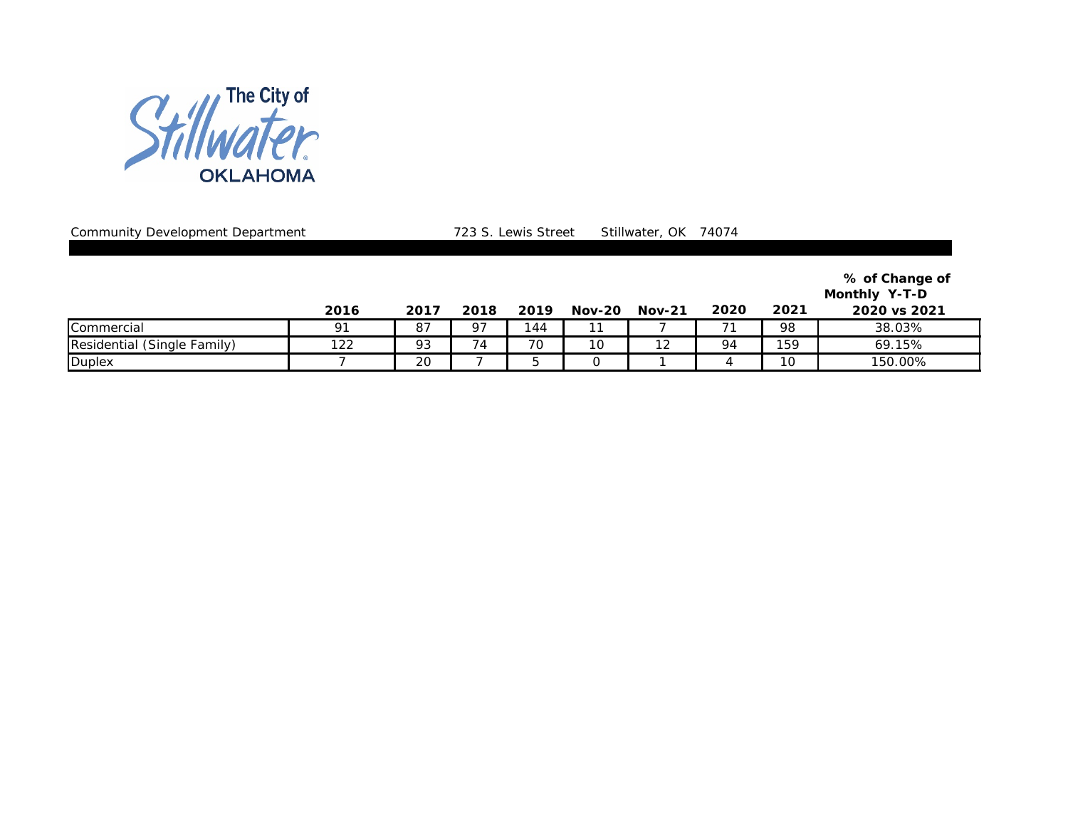

Community Development Department **723 S. Lewis Street** Stillwater, OK 74074

|                             |      |      |      |      |               |               |      |      | % of Change of<br>Monthly Y-T-D |
|-----------------------------|------|------|------|------|---------------|---------------|------|------|---------------------------------|
|                             | 2016 | 2017 | 2018 | 2019 | <b>Nov-20</b> | <b>Nov-21</b> | 2020 | 2021 | 2020 vs 2021                    |
| Commercial                  | 91   | 87   | 97   | 144  |               |               | 71   | 98   | 38.03%                          |
| Residential (Single Family) | 122  | 93   | 74   | 70   | 10            | 12            | 94   | 159  | 69.15%                          |
| Duplex                      |      | 20   |      |      |               |               | 4    | 10   | 150.00%                         |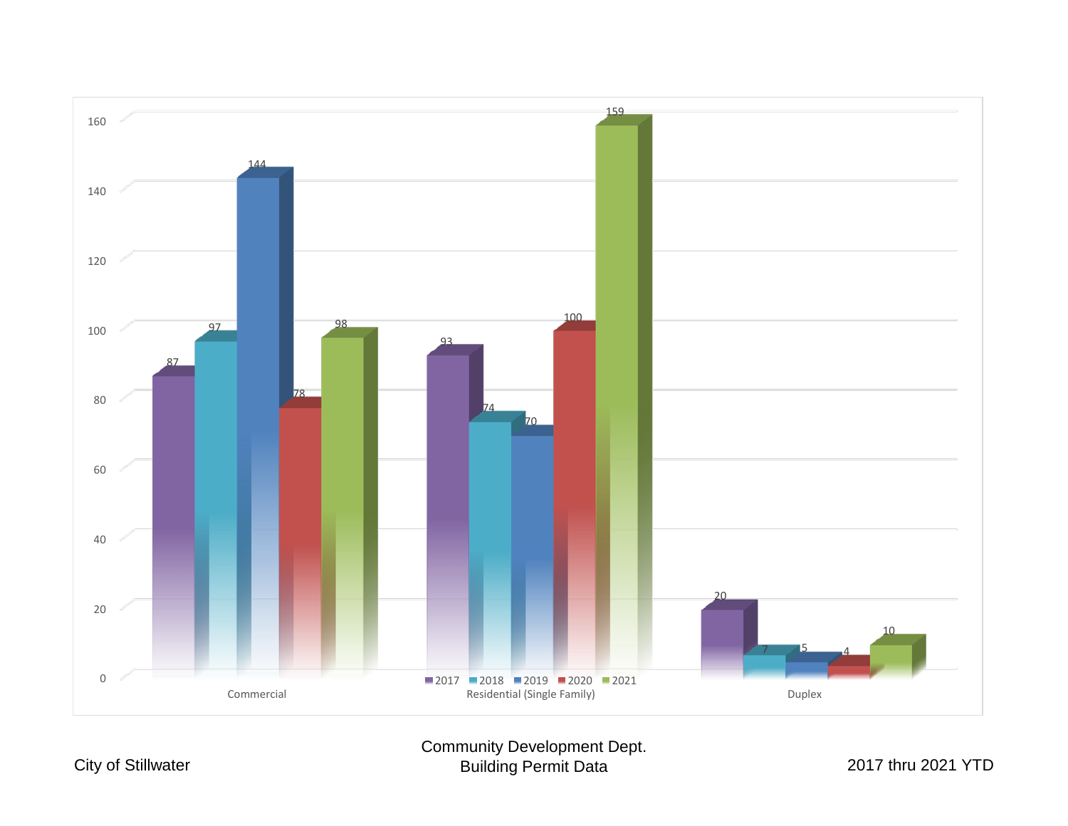

## Community Development Dept. Building Permit Data 2017 thru 2021 YTD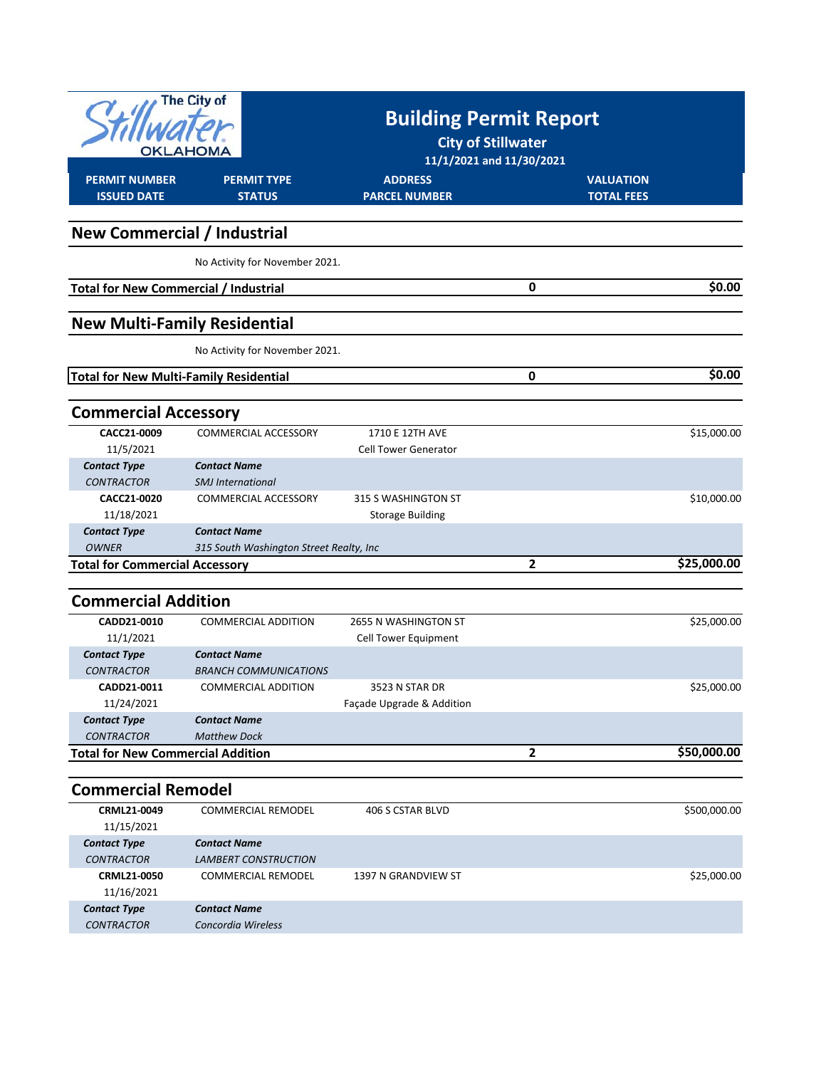| The City of<br>OKLAHOMA                       |                                         | <b>Building Permit Report</b><br><b>City of Stillwater</b><br>11/1/2021 and 11/30/2021 |                   |              |
|-----------------------------------------------|-----------------------------------------|----------------------------------------------------------------------------------------|-------------------|--------------|
| <b>PERMIT NUMBER</b>                          | <b>PERMIT TYPE</b>                      | <b>ADDRESS</b>                                                                         | <b>VALUATION</b>  |              |
| <b>ISSUED DATE</b>                            | <b>STATUS</b>                           | <b>PARCEL NUMBER</b>                                                                   | <b>TOTAL FEES</b> |              |
| <b>New Commercial / Industrial</b>            |                                         |                                                                                        |                   |              |
|                                               | No Activity for November 2021.          |                                                                                        |                   |              |
| <b>Total for New Commercial / Industrial</b>  |                                         |                                                                                        | 0                 | \$0.00       |
| <b>New Multi-Family Residential</b>           |                                         |                                                                                        |                   |              |
|                                               | No Activity for November 2021.          |                                                                                        |                   |              |
| <b>Total for New Multi-Family Residential</b> |                                         |                                                                                        | 0                 | \$0.00       |
| <b>Commercial Accessory</b>                   |                                         |                                                                                        |                   |              |
| CACC21-0009                                   | COMMERCIAL ACCESSORY                    | 1710 E 12TH AVE                                                                        |                   | \$15,000.00  |
| 11/5/2021                                     |                                         | <b>Cell Tower Generator</b>                                                            |                   |              |
| <b>Contact Type</b>                           | <b>Contact Name</b>                     |                                                                                        |                   |              |
| <b>CONTRACTOR</b>                             | <b>SMJ</b> International                |                                                                                        |                   |              |
| CACC21-0020                                   | COMMERCIAL ACCESSORY                    | 315 S WASHINGTON ST                                                                    |                   | \$10,000.00  |
| 11/18/2021                                    |                                         | <b>Storage Building</b>                                                                |                   |              |
| <b>Contact Type</b>                           | <b>Contact Name</b>                     |                                                                                        |                   |              |
| <b>OWNER</b>                                  | 315 South Washington Street Realty, Inc |                                                                                        |                   |              |
| <b>Total for Commercial Accessory</b>         |                                         |                                                                                        | 2                 | \$25,000.00  |
|                                               |                                         |                                                                                        |                   |              |
| <b>Commercial Addition</b>                    |                                         |                                                                                        |                   |              |
| CADD21-0010                                   | <b>COMMERCIAL ADDITION</b>              | 2655 N WASHINGTON ST                                                                   |                   | \$25,000.00  |
| 11/1/2021                                     |                                         | Cell Tower Equipment                                                                   |                   |              |
| <b>Contact Type</b>                           | <b>Contact Name</b>                     |                                                                                        |                   |              |
| <b>CONTRACTOR</b>                             | <b>BRANCH COMMUNICATIONS</b>            |                                                                                        |                   |              |
| CADD21-0011                                   | COMMERCIAL ADDITION                     | 3523 N STAR DR                                                                         |                   | \$25,000.00  |
| 11/24/2021                                    |                                         | Façade Upgrade & Addition                                                              |                   |              |
| <b>Contact Type</b>                           | <b>Contact Name</b>                     |                                                                                        |                   |              |
| <b>CONTRACTOR</b>                             | <b>Matthew Dock</b>                     |                                                                                        |                   |              |
| <b>Total for New Commercial Addition</b>      |                                         |                                                                                        | $\mathbf{2}$      | \$50,000.00  |
| <b>Commercial Remodel</b>                     |                                         |                                                                                        |                   |              |
| CRML21-0049                                   | <b>COMMERCIAL REMODEL</b>               | 406 S CSTAR BLVD                                                                       |                   | \$500,000.00 |
| 11/15/2021                                    |                                         |                                                                                        |                   |              |
| <b>Contact Type</b>                           | <b>Contact Name</b>                     |                                                                                        |                   |              |
| <b>CONTRACTOR</b>                             | <b>LAMBERT CONSTRUCTION</b>             |                                                                                        |                   |              |
| CRML21-0050                                   | <b>COMMERCIAL REMODEL</b>               | 1397 N GRANDVIEW ST                                                                    |                   | \$25,000.00  |
| 11/16/2021                                    |                                         |                                                                                        |                   |              |
| <b>Contact Type</b>                           | <b>Contact Name</b>                     |                                                                                        |                   |              |

 *CONTRACTOR*

*Concordia Wireless*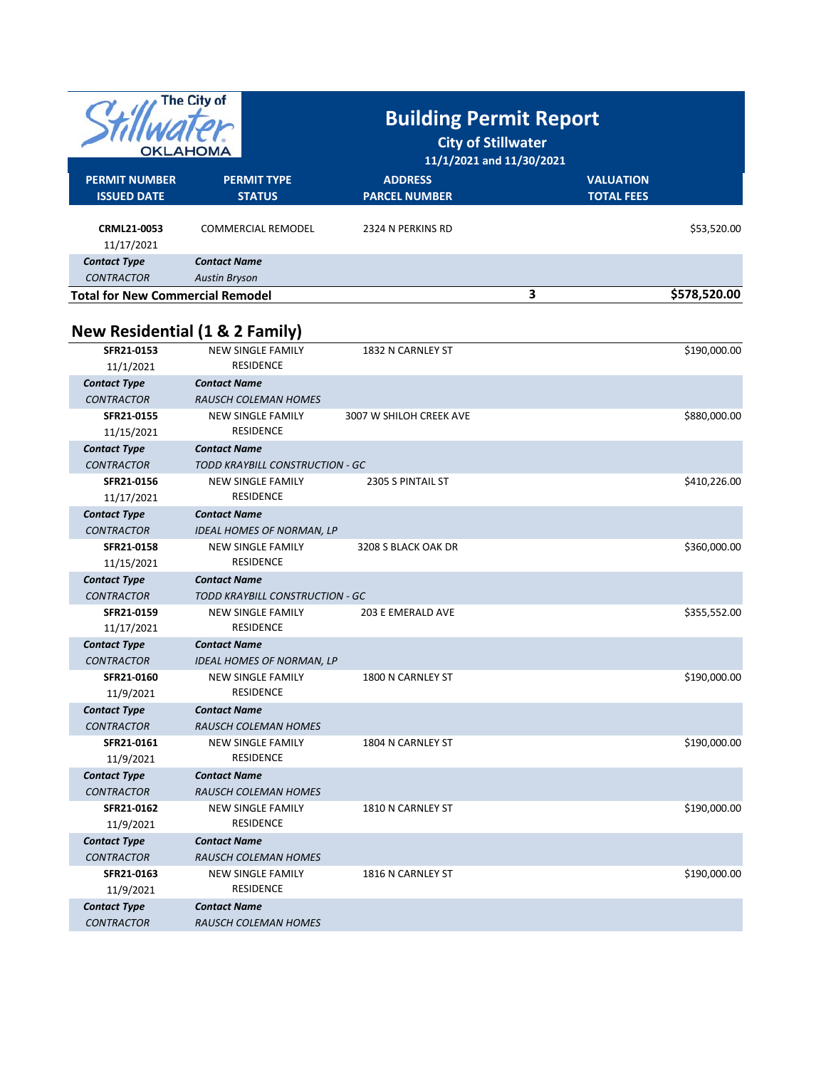|                                          | The City of                                                 |                                                       |                   |              |  |
|------------------------------------------|-------------------------------------------------------------|-------------------------------------------------------|-------------------|--------------|--|
|                                          |                                                             | <b>Building Permit Report</b>                         |                   |              |  |
|                                          |                                                             | <b>City of Stillwater</b><br>11/1/2021 and 11/30/2021 |                   |              |  |
| OKLAHOMA                                 |                                                             |                                                       |                   |              |  |
| <b>PERMIT NUMBER</b>                     | <b>PERMIT TYPE</b>                                          | <b>VALUATION</b>                                      |                   |              |  |
| <b>ISSUED DATE</b>                       | <b>STATUS</b>                                               | <b>ADDRESS</b><br><b>PARCEL NUMBER</b>                | <b>TOTAL FEES</b> |              |  |
|                                          |                                                             |                                                       |                   |              |  |
| <b>CRML21-0053</b><br>11/17/2021         | <b>COMMERCIAL REMODEL</b>                                   | 2324 N PERKINS RD                                     |                   | \$53,520.00  |  |
| <b>Contact Type</b>                      | <b>Contact Name</b>                                         |                                                       |                   |              |  |
| <b>CONTRACTOR</b>                        | <b>Austin Bryson</b>                                        |                                                       |                   |              |  |
| <b>Total for New Commercial Remodel</b>  |                                                             |                                                       | 3                 | \$578,520.00 |  |
|                                          | <b>New Residential (1 &amp; 2 Family)</b>                   |                                                       |                   |              |  |
| SFR21-0153                               | <b>NEW SINGLE FAMILY</b>                                    | 1832 N CARNLEY ST                                     |                   | \$190,000.00 |  |
| 11/1/2021                                | <b>RESIDENCE</b>                                            |                                                       |                   |              |  |
| <b>Contact Type</b>                      | <b>Contact Name</b>                                         |                                                       |                   |              |  |
| <b>CONTRACTOR</b>                        | <b>RAUSCH COLEMAN HOMES</b>                                 |                                                       |                   |              |  |
| SFR21-0155                               | <b>NEW SINGLE FAMILY</b>                                    | 3007 W SHILOH CREEK AVE                               |                   | \$880,000.00 |  |
| 11/15/2021                               | <b>RESIDENCE</b>                                            |                                                       |                   |              |  |
| <b>Contact Type</b>                      | <b>Contact Name</b>                                         |                                                       |                   |              |  |
| <b>CONTRACTOR</b>                        | TODD KRAYBILL CONSTRUCTION - GC                             |                                                       |                   |              |  |
| SFR21-0156                               | <b>NEW SINGLE FAMILY</b>                                    | 2305 S PINTAIL ST                                     |                   | \$410,226.00 |  |
| 11/17/2021                               | <b>RESIDENCE</b>                                            |                                                       |                   |              |  |
| <b>Contact Type</b>                      | <b>Contact Name</b>                                         |                                                       |                   |              |  |
| <b>CONTRACTOR</b>                        | <b>IDEAL HOMES OF NORMAN, LP</b>                            |                                                       |                   |              |  |
| SFR21-0158                               | <b>NEW SINGLE FAMILY</b><br><b>RESIDENCE</b>                | 3208 S BLACK OAK DR                                   |                   | \$360,000.00 |  |
| 11/15/2021                               |                                                             |                                                       |                   |              |  |
| <b>Contact Type</b><br><b>CONTRACTOR</b> | <b>Contact Name</b>                                         |                                                       |                   |              |  |
| SFR21-0159                               | TODD KRAYBILL CONSTRUCTION - GC<br><b>NEW SINGLE FAMILY</b> | 203 E EMERALD AVE                                     |                   | \$355,552.00 |  |
| 11/17/2021                               | <b>RESIDENCE</b>                                            |                                                       |                   |              |  |
| <b>Contact Type</b>                      | <b>Contact Name</b>                                         |                                                       |                   |              |  |
| <b>CONTRACTOR</b>                        | IDEAL HOMES OF NORMAN, LP                                   |                                                       |                   |              |  |
| SFR21-0160                               | NEW SINGLE FAMILY                                           | 1800 N CARNLEY ST                                     |                   | \$190,000.00 |  |
| 11/9/2021                                | <b>RESIDENCE</b>                                            |                                                       |                   |              |  |
| <b>Contact Type</b>                      | <b>Contact Name</b>                                         |                                                       |                   |              |  |
| <b>CONTRACTOR</b>                        | <b>RAUSCH COLEMAN HOMES</b>                                 |                                                       |                   |              |  |
| SFR21-0161                               | <b>NEW SINGLE FAMILY</b>                                    | 1804 N CARNLEY ST                                     |                   | \$190,000.00 |  |
| 11/9/2021                                | <b>RESIDENCE</b>                                            |                                                       |                   |              |  |
| <b>Contact Type</b>                      | <b>Contact Name</b>                                         |                                                       |                   |              |  |
| <b>CONTRACTOR</b>                        | <b>RAUSCH COLEMAN HOMES</b>                                 |                                                       |                   |              |  |
| SFR21-0162                               | <b>NEW SINGLE FAMILY</b>                                    | 1810 N CARNLEY ST                                     |                   | \$190,000.00 |  |
| 11/9/2021                                | RESIDENCE                                                   |                                                       |                   |              |  |
| <b>Contact Type</b>                      | <b>Contact Name</b>                                         |                                                       |                   |              |  |
| <b>CONTRACTOR</b>                        | <b>RAUSCH COLEMAN HOMES</b>                                 |                                                       |                   |              |  |
| SFR21-0163                               | <b>NEW SINGLE FAMILY</b>                                    | 1816 N CARNLEY ST                                     |                   | \$190,000.00 |  |
| 11/9/2021                                | <b>RESIDENCE</b>                                            |                                                       |                   |              |  |
| <b>Contact Type</b>                      | <b>Contact Name</b>                                         |                                                       |                   |              |  |
| <b>CONTRACTOR</b>                        | <b>RAUSCH COLEMAN HOMES</b>                                 |                                                       |                   |              |  |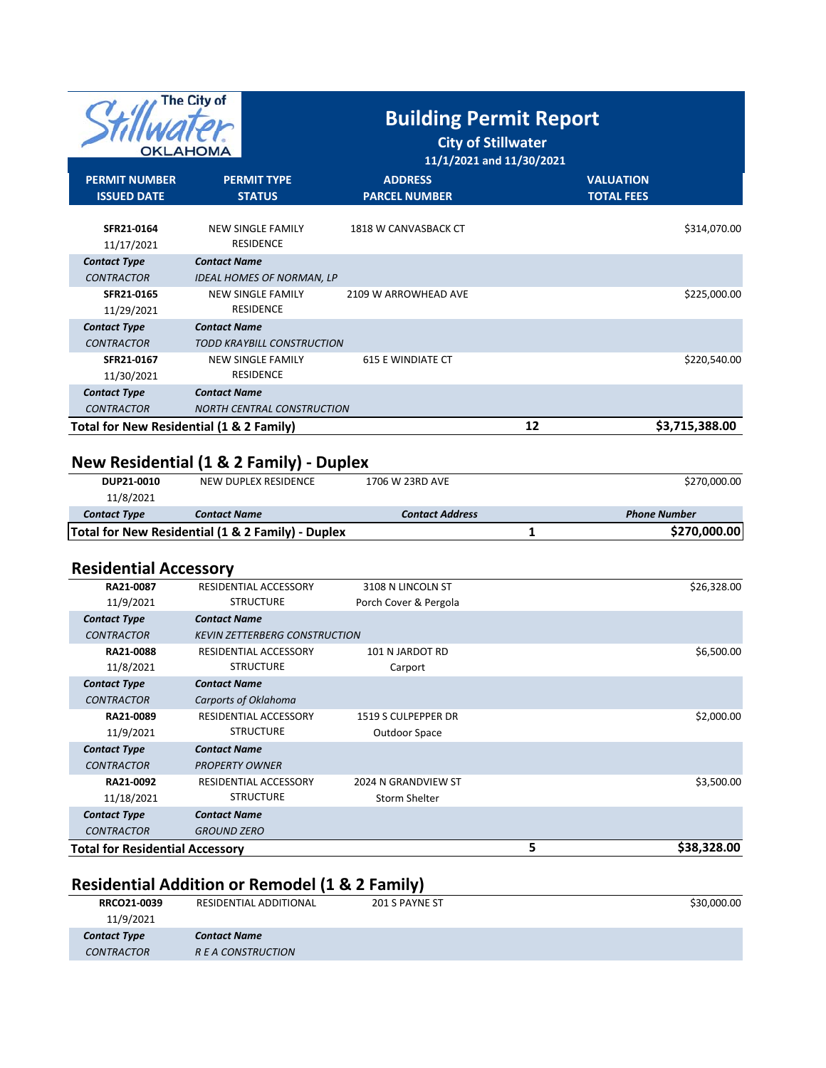| The City of<br>OKLAHOMA                                       |                                                                                               | <b>Building Permit Report</b><br><b>City of Stillwater</b><br>11/1/2021 and 11/30/2021 |    |                                     |
|---------------------------------------------------------------|-----------------------------------------------------------------------------------------------|----------------------------------------------------------------------------------------|----|-------------------------------------|
| <b>PERMIT NUMBER</b>                                          | <b>PERMIT TYPE</b>                                                                            | <b>ADDRESS</b>                                                                         |    | <b>VALUATION</b>                    |
| <b>ISSUED DATE</b>                                            | <b>STATUS</b>                                                                                 | <b>PARCEL NUMBER</b>                                                                   |    | <b>TOTAL FEES</b>                   |
| SFR21-0164<br>11/17/2021                                      | <b>NEW SINGLE FAMILY</b><br><b>RESIDENCE</b>                                                  | 1818 W CANVASBACK CT                                                                   |    | \$314,070.00                        |
| <b>Contact Type</b><br><b>CONTRACTOR</b>                      | <b>Contact Name</b><br><b>IDEAL HOMES OF NORMAN, LP</b>                                       |                                                                                        |    |                                     |
| SFR21-0165<br>11/29/2021                                      | <b>NEW SINGLE FAMILY</b><br><b>RESIDENCE</b>                                                  | 2109 W ARROWHEAD AVE                                                                   |    | \$225,000.00                        |
| <b>Contact Type</b>                                           | <b>Contact Name</b>                                                                           |                                                                                        |    |                                     |
| <b>CONTRACTOR</b>                                             | TODD KRAYBILL CONSTRUCTION                                                                    |                                                                                        |    |                                     |
| SFR21-0167<br>11/30/2021                                      | <b>NEW SINGLE FAMILY</b><br><b>RESIDENCE</b>                                                  | <b>615 E WINDIATE CT</b>                                                               |    | \$220,540.00                        |
| <b>Contact Type</b>                                           | <b>Contact Name</b>                                                                           |                                                                                        |    |                                     |
| <b>CONTRACTOR</b><br>Total for New Residential (1 & 2 Family) | <b>NORTH CENTRAL CONSTRUCTION</b>                                                             |                                                                                        | 12 | \$3,715,388.00                      |
| DUP21-0010<br>11/8/2021<br><b>Contact Type</b>                | New Residential (1 & 2 Family) - Duplex<br><b>NEW DUPLEX RESIDENCE</b><br><b>Contact Name</b> | 1706 W 23RD AVE<br><b>Contact Address</b>                                              |    | \$270,000.00<br><b>Phone Number</b> |
|                                                               | Total for New Residential (1 & 2 Family) - Duplex                                             |                                                                                        | 1  | \$270,000.00                        |
| <b>Residential Accessory</b>                                  |                                                                                               |                                                                                        |    |                                     |
| RA21-0087<br>11/9/2021                                        | RESIDENTIAL ACCESSORY<br><b>STRUCTURE</b>                                                     | 3108 N LINCOLN ST<br>Porch Cover & Pergola                                             |    | \$26,328.00                         |
| <b>Contact Type</b>                                           | <b>Contact Name</b>                                                                           |                                                                                        |    |                                     |
| <b>CONTRACTOR</b>                                             | <b>KEVIN ZETTERBERG CONSTRUCTION</b>                                                          |                                                                                        |    |                                     |
| RA21-0088                                                     | RESIDENTIAL ACCESSORY                                                                         | 101 N JARDOT RD                                                                        |    | \$6,500.00                          |
| 11/8/2021                                                     | <b>STRUCTURE</b>                                                                              | Carport                                                                                |    |                                     |
| <b>Contact Type</b><br><b>CONTRACTOR</b>                      | <b>Contact Name</b><br>Carports of Oklahoma                                                   |                                                                                        |    |                                     |
| RA21-0089                                                     | RESIDENTIAL ACCESSORY                                                                         | 1519 S CULPEPPER DR                                                                    |    | \$2,000.00                          |
| 11/9/2021                                                     | <b>STRUCTURE</b>                                                                              | Outdoor Space                                                                          |    |                                     |
| <b>Contact Type</b>                                           | <b>Contact Name</b>                                                                           |                                                                                        |    |                                     |
| <b>CONTRACTOR</b>                                             | <b>PROPERTY OWNER</b>                                                                         |                                                                                        |    |                                     |
| RA21-0092<br>11/18/2021                                       | RESIDENTIAL ACCESSORY<br><b>STRUCTURE</b>                                                     | 2024 N GRANDVIEW ST<br>Storm Shelter                                                   |    | \$3,500.00                          |
|                                                               |                                                                                               |                                                                                        |    |                                     |

| <b>Contact Type</b>                    | Contact Name       |             |
|----------------------------------------|--------------------|-------------|
| <b>CONTRACTOR</b>                      | <b>GROUND ZERO</b> |             |
| <b>Total for Residential Accessory</b> |                    | \$38,328,00 |
|                                        |                    |             |

## **Residential Addition or Remodel (1 & 2 Family)**

| RRCO21-0039         | RESIDENTIAL ADDITIONAL | 201 S PAYNE ST | \$30,000.00 |
|---------------------|------------------------|----------------|-------------|
| 11/9/2021           |                        |                |             |
| <b>Contact Type</b> | <b>Contact Name</b>    |                |             |
| <i>CONTRACTOR</i>   | R E A CONSTRUCTION     |                |             |